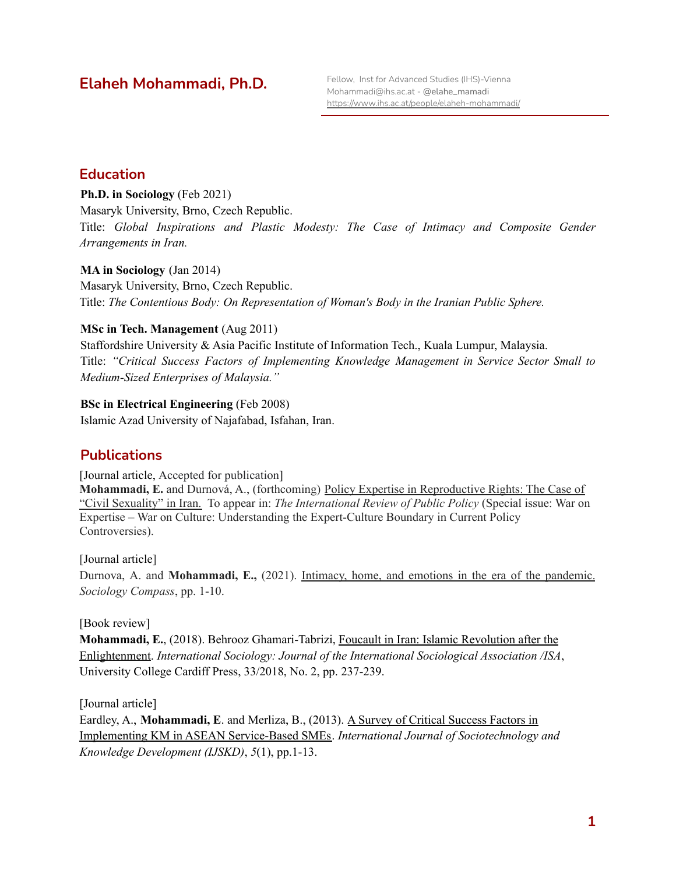# **Elaheh Mohammadi, Ph.D.**

#### **Education**

**Ph.D. in Sociology** (Feb 2021) Masaryk University, Brno, Czech Republic. Title: *Global Inspirations and Plastic Modesty: The Case of Intimacy and Composite Gender Arrangements in Iran.*

**MA in Sociology** (Jan 2014) Masaryk University, Brno, Czech Republic. Title: *The Contentious Body: On Representation of Woman's Body in the Iranian Public Sphere.*

#### **MSc in Tech. Management** (Aug 2011)

Staffordshire University & Asia Pacific Institute of Information Tech., Kuala Lumpur, Malaysia. Title: *"Critical Success Factors of Implementing Knowledge Management in Service Sector Small to Medium-Sized Enterprises of Malaysia."*

#### **BSc in Electrical Engineering** (Feb 2008)

Islamic Azad University of Najafabad, Isfahan, Iran.

## **Publications**

[Journal article, Accepted for publication]

**Mohammadi, E.** and Durnová, A., (forthcoming) Policy Expertise in Reproductive Rights: The Case of "Civil Sexuality" in Iran. To appear in: *The International Review of Public Policy* (Special issue: War on Expertise – War on Culture: Understanding the Expert-Culture Boundary in Current Policy Controversies).

[Journal article]

Durnova, A. and **Mohammadi, E.,** (2021). Intimacy, home, and emotions in the era of the pandemic. *Sociology Compass*, pp. 1-10.

[Book review]

**Mohammadi, E.**, (2018). Behrooz Ghamari-Tabrizi, Foucault in Iran: Islamic [Revolution](http://journals.sagepub.com/doi/abs/10.1177/0268580918757117a) after the [Enlightenment.](http://journals.sagepub.com/doi/abs/10.1177/0268580918757117a) *International Sociology: Journal of the International Sociological Association /ISA*, University College Cardiff Press, 33/2018, No. 2, pp. 237-239.

[Journal article]

Eardley, A., **Mohammadi, E**. and Merliza, B., (2013). A Survey of Critical [Success](https://dl.acm.org/citation.cfm?id=2518055) Factors in Implementing KM in ASEAN [Service-Based](https://dl.acm.org/citation.cfm?id=2518055) SMEs. *International Journal of Sociotechnology and Knowledge Development (IJSKD)*, *5*(1), pp.1-13.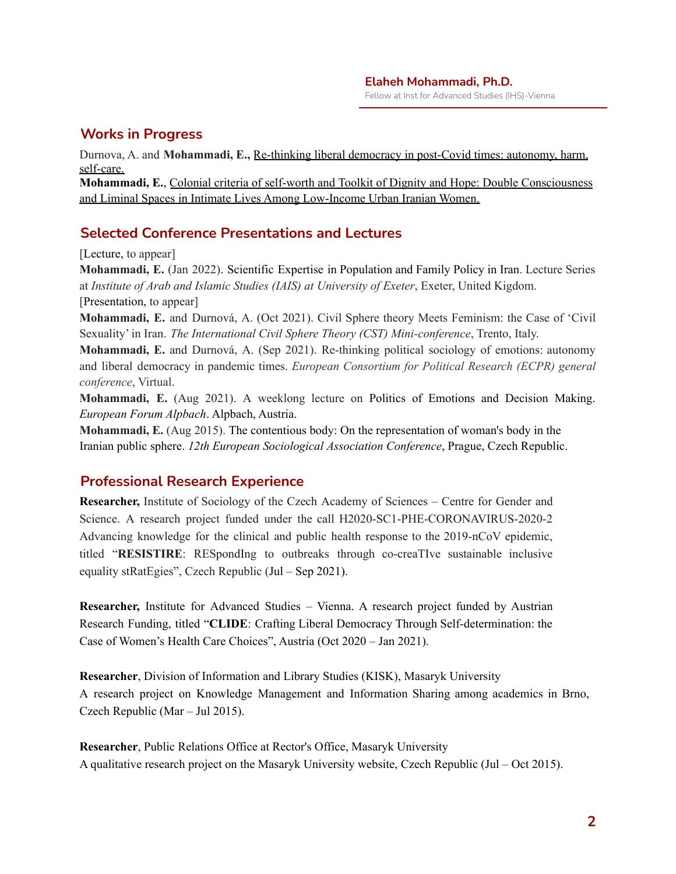# **Works in Progress**

Durnova, A. and **Mohammadi, E.,** Re-thinking liberal democracy in post-Covid times: autonomy, harm, self-care.

**Mohammadi, E.**, Colonial criteria of self-worth and Toolkit of Dignity and Hope: Double Consciousness and Liminal Spaces in Intimate Lives Among Low-Income Urban Iranian Women.

## **Selected Conference Presentations and Lectures**

[Lecture, to appear]

**Mohammadi, E.** (Jan 2022). Scientific Expertise in Population and Family Policy in Iran. Lecture Series at *Institute of Arab and Islamic Studies (IAIS) at University of Exeter*, Exeter, United Kigdom. [Presentation, to appear]

**Mohammadi, E.** and Durnová, A. (Oct 2021). Civil Sphere theory Meets Feminism: the Case of 'Civil Sexuality' in Iran. *The International Civil Sphere Theory (CST) Mini-conference*, Trento, Italy.

**Mohammadi, E.** and Durnová, A. (Sep 2021). Re-thinking political sociology of emotions: autonomy and liberal democracy in pandemic times. *European Consortium for Political Research (ECPR) general conference*, Virtual.

**Mohammadi, E.** (Aug 2021). A weeklong lecture on Politics of Emotions and Decision Making. *European Forum Alpbach*. Alpbach, Austria.

**Mohammadi, E.** (Aug 2015). The contentious body: On the representation of woman's body in the Iranian public sphere. *12th European Sociological Association Conference*, Prague, Czech Republic.

## **Professional Research Experience**

**Researcher,** Institute of Sociology of the Czech Academy of Sciences – Centre for Gender and Science. A research project funded under the call H2020-SC1-PHE-CORONAVIRUS-2020-2 Advancing knowledge for the clinical and public health response to the 2019-nCoV epidemic, titled "**RESISTIRE**: RESpondIng to outbreaks through co-creaTIve sustainable inclusive equality stRatEgies", Czech Republic (Jul – Sep 2021).

**Researcher,** Institute for Advanced Studies – Vienna. A research project funded by Austrian Research Funding, titled "**CLIDE**: Crafting Liberal Democracy Through Self-determination: the Case of Women's Health Care Choices", Austria (Oct 2020 – Jan 2021).

**Researcher**, Division of Information and Library Studies (KISK), Masaryk University A research project on Knowledge Management and Information Sharing among academics in Brno, Czech Republic (Mar – Jul 2015).

**Researcher**, Public Relations Office at Rector's Office, Masaryk University A qualitative research project on the Masaryk University website, Czech Republic (Jul – Oct 2015).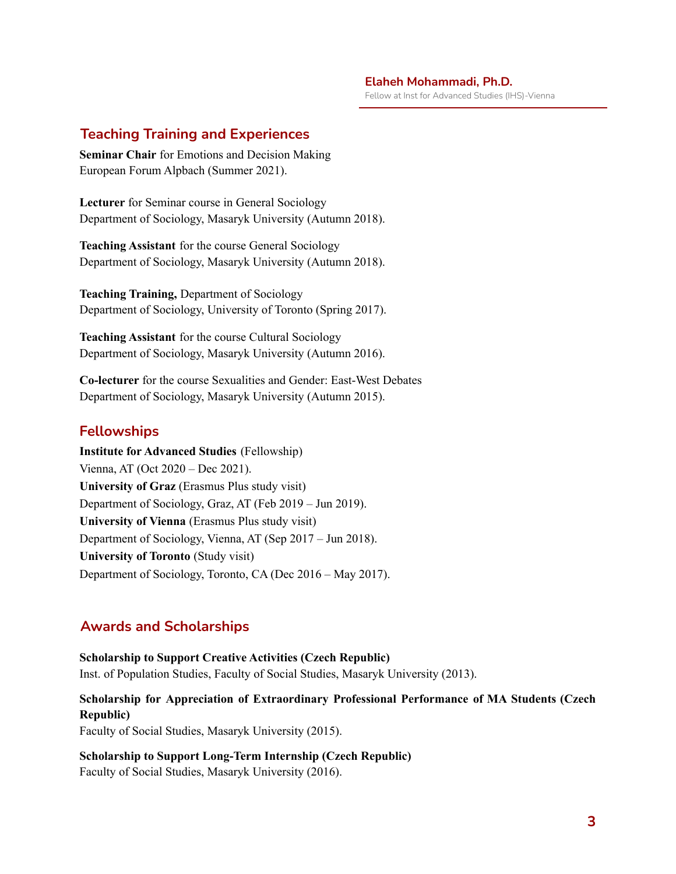Fellow at Inst for Advanced Studies (IHS)-Vienna

#### **Teaching Training and Experiences**

**Seminar Chair** for Emotions and Decision Making European Forum Alpbach (Summer 2021).

**Lecturer** for Seminar course in General Sociology Department of Sociology, Masaryk University (Autumn 2018).

**Teaching Assistant** for the course General Sociology Department of Sociology, Masaryk University (Autumn 2018).

**Teaching Training,** Department of Sociology Department of Sociology, University of Toronto (Spring 2017).

**Teaching Assistant** for the course Cultural Sociology Department of Sociology, Masaryk University (Autumn 2016).

**Co-lecturer** for the course Sexualities and Gender: East-West Debates Department of Sociology, Masaryk University (Autumn 2015).

#### **Fellowships**

**Institute for Advanced Studies** (Fellowship) Vienna, AT (Oct 2020 – Dec 2021). **University of Graz** (Erasmus Plus study visit) Department of Sociology, Graz, AT (Feb 2019 – Jun 2019). **University of Vienna** (Erasmus Plus study visit) Department of Sociology, Vienna, AT (Sep 2017 – Jun 2018). **University of Toronto** (Study visit) Department of Sociology, Toronto, CA (Dec 2016 – May 2017).

## **Awards and Scholarships**

**Scholarship to Support Creative Activities (Czech Republic)** Inst. of Population Studies, Faculty of Social Studies, Masaryk University (2013).

#### **Scholarship for Appreciation of Extraordinary Professional Performance of MA Students (Czech Republic)**

Faculty of Social Studies, Masaryk University (2015).

**Scholarship to Support Long-Term Internship (Czech Republic)** Faculty of Social Studies, Masaryk University (2016).